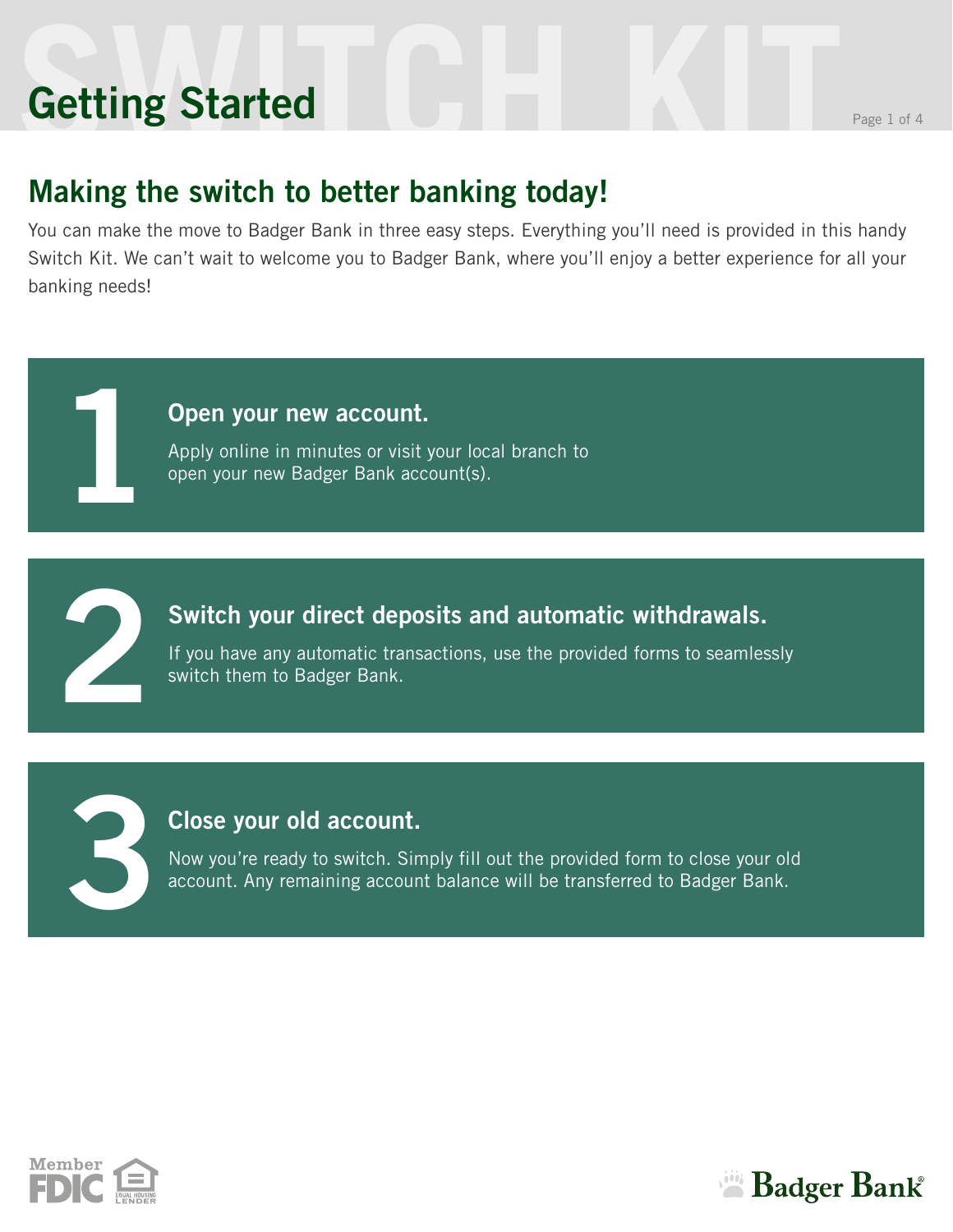# **SWITCH KIT** Page 1 of 4 **Getting Started**

**1**

**2**

**3**

### **Making the switch to better banking today!**

You can make the move to Badger Bank in three easy steps. Everything you'll need is provided in this handy Switch Kit. We can't wait to welcome you to Badger Bank, where you'll enjoy a better experience for all your banking needs!

#### **Open your new account.**

Apply online in minutes or visit your local branch to open your new Badger Bank account(s).

#### **Switch your direct deposits and automatic withdrawals.**

If you have any automatic transactions, use the provided forms to seamlessly switch them to Badger Bank.

#### **Close your old account.**

Now you're ready to switch. Simply fill out the provided form to close your old account. Any remaining account balance will be transferred to Badger Bank.



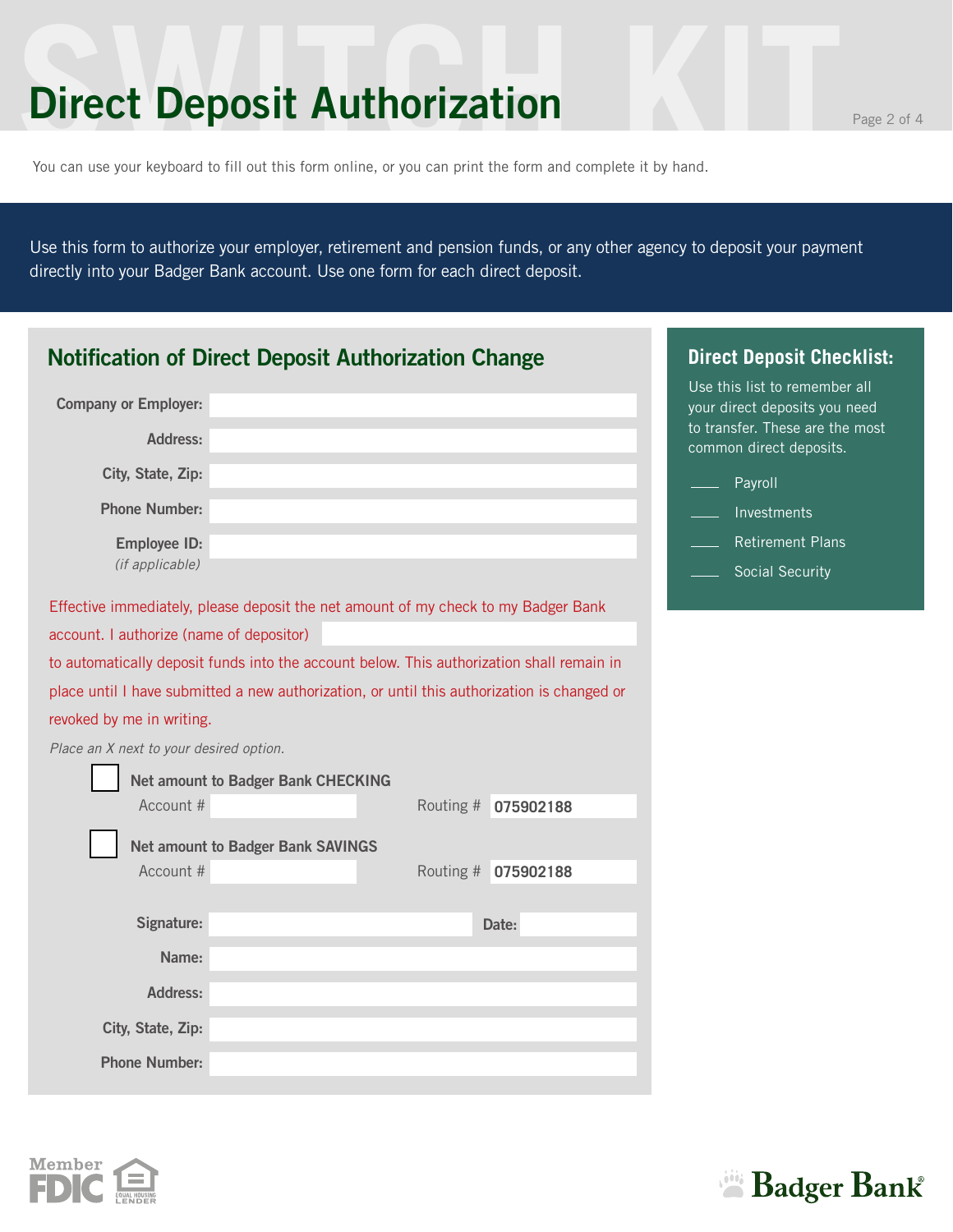### **Direct Deposit Authorization**

You can use your keyboard to fill out this form online, or you can print the form and complete it by hand.

Use this form to authorize your employer, retirement and pension funds, or any other agency to deposit your payment directly into your Badger Bank account. Use one form for each direct deposit.

| <b>Notification of Direct Deposit Authorization Change</b>                                  | <b>Direct Deposit Checklist:</b>                               |
|---------------------------------------------------------------------------------------------|----------------------------------------------------------------|
| <b>Company or Employer:</b>                                                                 | Use this list to remember all<br>your direct deposits you need |
| <b>Address:</b>                                                                             | to transfer. These are the most<br>common direct deposits.     |
| City, State, Zip:                                                                           | Payroll                                                        |
| <b>Phone Number:</b>                                                                        | Investments                                                    |
| <b>Employee ID:</b>                                                                         | <b>Retirement Plans</b>                                        |
| (if applicable)                                                                             | Social Security                                                |
| Effective immediately, please deposit the net amount of my check to my Badger Bank          |                                                                |
| account. I authorize (name of depositor)                                                    |                                                                |
| to automatically deposit funds into the account below. This authorization shall remain in   |                                                                |
| place until I have submitted a new authorization, or until this authorization is changed or |                                                                |
| revoked by me in writing.                                                                   |                                                                |
| Place an X next to your desired option.                                                     |                                                                |
| <b>Net amount to Badger Bank CHECKING</b>                                                   |                                                                |
| Account #<br>Routing # 075902188                                                            |                                                                |
| <b>Net amount to Badger Bank SAVINGS</b>                                                    |                                                                |
| Account #<br>Routing # 075902188                                                            |                                                                |
|                                                                                             |                                                                |
| Signature:<br>Date:                                                                         |                                                                |
| Name:                                                                                       |                                                                |
| Address:                                                                                    |                                                                |
| City, State, Zip:                                                                           |                                                                |
| <b>Phone Number:</b>                                                                        |                                                                |



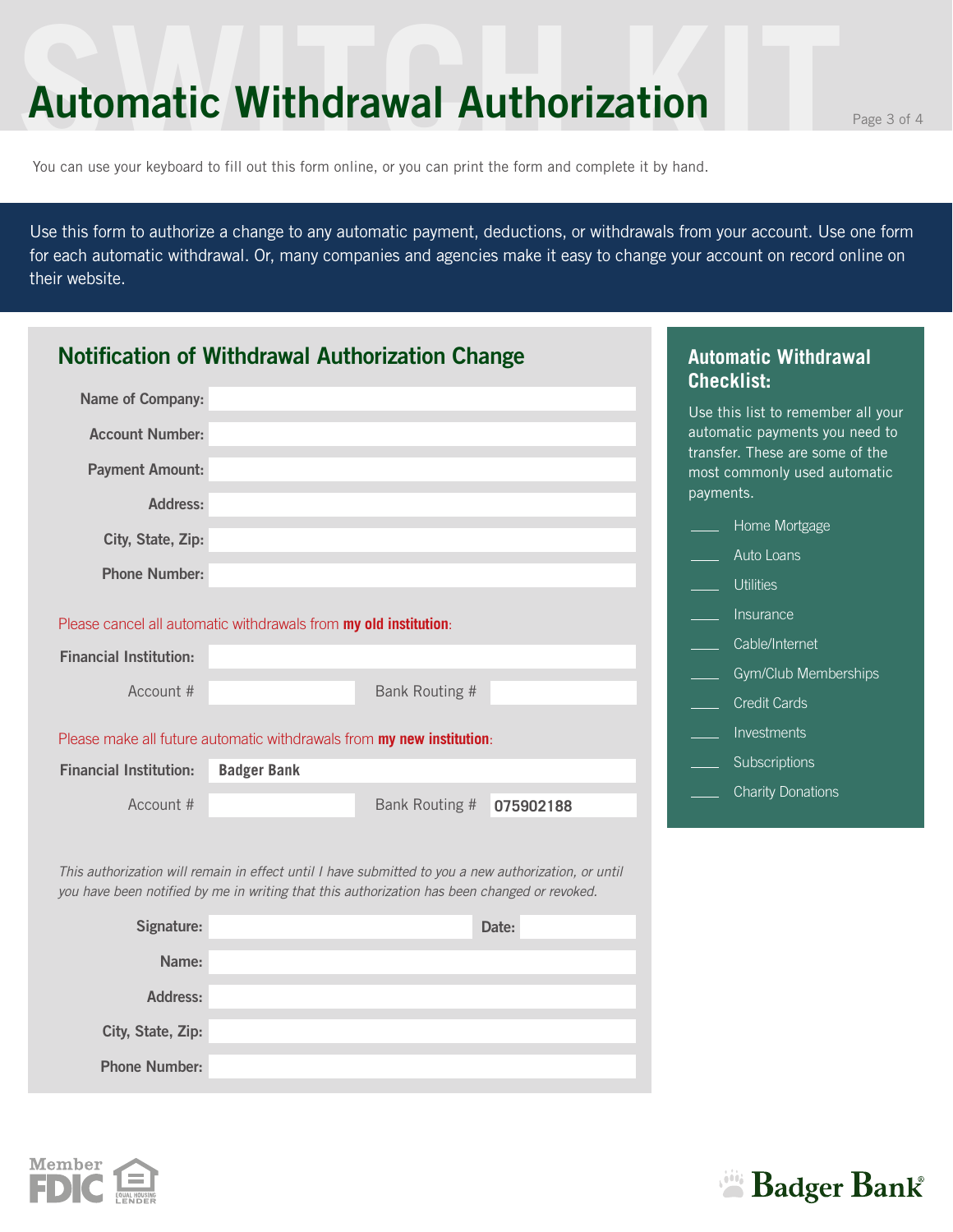### **Automatic Withdrawal Authorization**

You can use your keyboard to fill out this form online, or you can print the form and complete it by hand.

Use this form to authorize a change to any automatic payment, deductions, or withdrawals from your account. Use one form for each automatic withdrawal. Or, many companies and agencies make it easy to change your account on record online on their website.

|                               | <b>Notification of Withdrawal Authorization Change</b>                                                                                                                                               |           | <b>Automatic Withdrawal</b><br><b>Checklist:</b>                             |
|-------------------------------|------------------------------------------------------------------------------------------------------------------------------------------------------------------------------------------------------|-----------|------------------------------------------------------------------------------|
| <b>Name of Company:</b>       |                                                                                                                                                                                                      |           | Use this list to remember all your                                           |
| <b>Account Number:</b>        |                                                                                                                                                                                                      |           | automatic payments you need to                                               |
| <b>Payment Amount:</b>        |                                                                                                                                                                                                      |           | transfer. These are some of the<br>most commonly used automatic<br>payments. |
| Address:                      |                                                                                                                                                                                                      |           | Home Mortgage                                                                |
| City, State, Zip:             |                                                                                                                                                                                                      |           | Auto Loans                                                                   |
| <b>Phone Number:</b>          |                                                                                                                                                                                                      |           | <b>Utilities</b>                                                             |
|                               |                                                                                                                                                                                                      |           | Insurance                                                                    |
|                               | Please cancel all automatic withdrawals from my old institution:                                                                                                                                     |           | Cable/Internet                                                               |
| <b>Financial Institution:</b> |                                                                                                                                                                                                      |           | Gym/Club Memberships                                                         |
| Account #                     | Bank Routing #                                                                                                                                                                                       |           | <b>Credit Cards</b>                                                          |
|                               | Please make all future automatic withdrawals from my new institution:                                                                                                                                |           | Investments                                                                  |
| <b>Financial Institution:</b> | <b>Badger Bank</b>                                                                                                                                                                                   |           | Subscriptions                                                                |
| Account #                     | Bank Routing #                                                                                                                                                                                       | 075902188 | <b>Charity Donations</b>                                                     |
|                               | This authorization will remain in effect until I have submitted to you a new authorization, or until<br>you have been notified by me in writing that this authorization has been changed or revoked. |           |                                                                              |
| Signature:                    |                                                                                                                                                                                                      | Date:     |                                                                              |
| Name:                         |                                                                                                                                                                                                      |           |                                                                              |
| <b>Address:</b>               |                                                                                                                                                                                                      |           |                                                                              |
| City, State, Zip:             |                                                                                                                                                                                                      |           |                                                                              |

**Phone Number:**